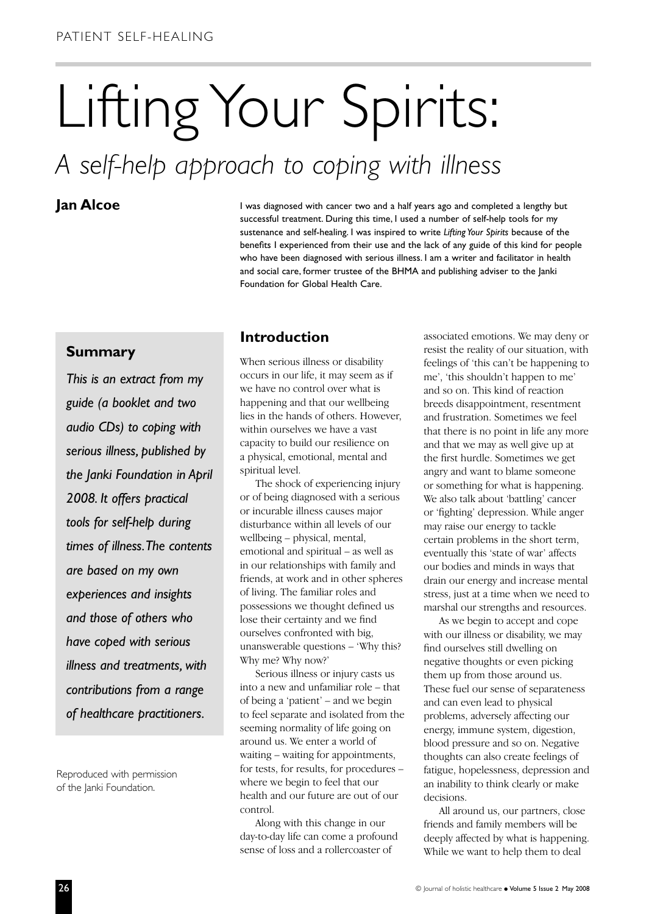# Lifting Your Spirits:

## *A self-help approach to coping with illness*

**Jan Alcoe I** was diagnosed with cancer two and a half years ago and completed a lengthy but successful treatment. During this time, I used a number of self-help tools for my sustenance and self-healing. I was inspired to write *Lifting Your Spirits* because of the benefits I experienced from their use and the lack of any guide of this kind for people who have been diagnosed with serious illness. I am a writer and facilitator in health and social care, former trustee of the BHMA and publishing adviser to the Janki Foundation for Global Health Care.

#### **Summary**

*This is an extract from my guide (a booklet and two audio CDs) to coping with serious illness, published by the Janki Foundation in April 2008. It offers practical tools for self-help during times of illness.The contents are based on my own experiences and insights and those of others who have coped with serious illness and treatments, with contributions from a range of healthcare practitioners.*

Reproduced with permission of the Janki Foundation.

#### **Introduction**

When serious illness or disability occurs in our life, it may seem as if we have no control over what is happening and that our wellbeing lies in the hands of others. However, within ourselves we have a vast capacity to build our resilience on a physical, emotional, mental and spiritual level.

The shock of experiencing injury or of being diagnosed with a serious or incurable illness causes major disturbance within all levels of our wellbeing – physical, mental, emotional and spiritual – as well as in our relationships with family and friends, at work and in other spheres of living. The familiar roles and possessions we thought defined us lose their certainty and we find ourselves confronted with big, unanswerable questions – 'Why this? Why me? Why now?'

Serious illness or injury casts us into a new and unfamiliar role – that of being a 'patient' – and we begin to feel separate and isolated from the seeming normality of life going on around us. We enter a world of waiting – waiting for appointments, for tests, for results, for procedures – where we begin to feel that our health and our future are out of our control.

Along with this change in our day-to-day life can come a profound sense of loss and a rollercoaster of

associated emotions. We may deny or resist the reality of our situation, with feelings of 'this can't be happening to me', 'this shouldn't happen to me' and so on. This kind of reaction breeds disappointment, resentment and frustration. Sometimes we feel that there is no point in life any more and that we may as well give up at the first hurdle. Sometimes we get angry and want to blame someone or something for what is happening. We also talk about 'battling' cancer or 'fighting' depression. While anger may raise our energy to tackle certain problems in the short term, eventually this 'state of war' affects our bodies and minds in ways that drain our energy and increase mental stress, just at a time when we need to marshal our strengths and resources.

As we begin to accept and cope with our illness or disability, we may find ourselves still dwelling on negative thoughts or even picking them up from those around us. These fuel our sense of separateness and can even lead to physical problems, adversely affecting our energy, immune system, digestion, blood pressure and so on. Negative thoughts can also create feelings of fatigue, hopelessness, depression and an inability to think clearly or make decisions.

All around us, our partners, close friends and family members will be deeply affected by what is happening. While we want to help them to deal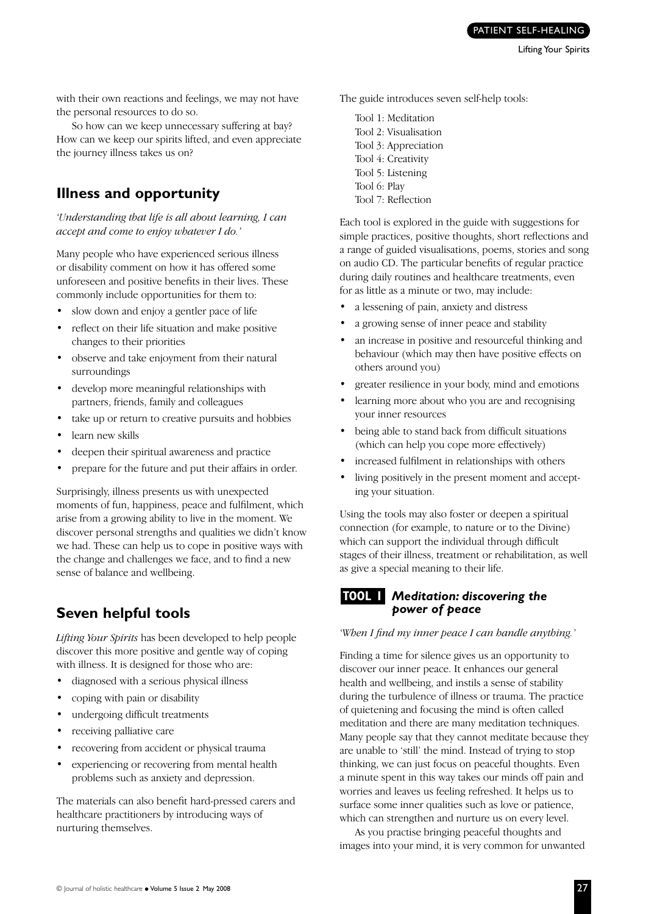with their own reactions and feelings, we may not have the personal resources to do so.

So how can we keep unnecessary suffering at bay? How can we keep our spirits lifted, and even appreciate the journey illness takes us on?

#### **Illness and opportunity**

*'Understanding that life is all about learning, I can accept and come to enjoy whatever I do.'*

Many people who have experienced serious illness or disability comment on how it has offered some unforeseen and positive benefits in their lives. These commonly include opportunities for them to:

- slow down and enjoy a gentler pace of life
- reflect on their life situation and make positive changes to their priorities
- observe and take enjoyment from their natural surroundings
- develop more meaningful relationships with partners, friends, family and colleagues
- take up or return to creative pursuits and hobbies
- learn new skills
- deepen their spiritual awareness and practice
- prepare for the future and put their affairs in order.

Surprisingly, illness presents us with unexpected moments of fun, happiness, peace and fulfilment, which arise from a growing ability to live in the moment. We discover personal strengths and qualities we didn't know we had. These can help us to cope in positive ways with the change and challenges we face, and to find a new sense of balance and wellbeing.

### **Seven helpful tools**

*Lifting Your Spirits* has been developed to help people discover this more positive and gentle way of coping with illness. It is designed for those who are:

- diagnosed with a serious physical illness
- coping with pain or disability
- undergoing difficult treatments
- receiving palliative care
- recovering from accident or physical trauma
- experiencing or recovering from mental health problems such as anxiety and depression.

The materials can also benefit hard-pressed carers and healthcare practitioners by introducing ways of nurturing themselves.

The guide introduces seven self-help tools:

Tool 1: Meditation Tool 2: Visualisation Tool 3: Appreciation Tool 4: Creativity Tool 5: Listening Tool 6: Play Tool 7: Reflection

Each tool is explored in the guide with suggestions for simple practices, positive thoughts, short reflections and a range of guided visualisations, poems, stories and song on audio CD. The particular benefits of regular practice during daily routines and healthcare treatments, even for as little as a minute or two, may include:

- a lessening of pain, anxiety and distress
- a growing sense of inner peace and stability
- an increase in positive and resourceful thinking and behaviour (which may then have positive effects on others around you)
- greater resilience in your body, mind and emotions
- learning more about who you are and recognising your inner resources
- being able to stand back from difficult situations (which can help you cope more effectively)
- increased fulfilment in relationships with others
- living positively in the present moment and accepting your situation.

Using the tools may also foster or deepen a spiritual connection (for example, to nature or to the Divine) which can support the individual through difficult stages of their illness, treatment or rehabilitation, as well as give a special meaning to their life.

#### *Meditation: discovering the*  **TOOL 1***power of peace*

*'When I find my inner peace I can handle anything.'*

Finding a time for silence gives us an opportunity to discover our inner peace. It enhances our general health and wellbeing, and instils a sense of stability during the turbulence of illness or trauma. The practice of quietening and focusing the mind is often called meditation and there are many meditation techniques. Many people say that they cannot meditate because they are unable to 'still' the mind. Instead of trying to stop thinking, we can just focus on peaceful thoughts. Even a minute spent in this way takes our minds off pain and worries and leaves us feeling refreshed. It helps us to surface some inner qualities such as love or patience, which can strengthen and nurture us on every level.

As you practise bringing peaceful thoughts and images into your mind, it is very common for unwanted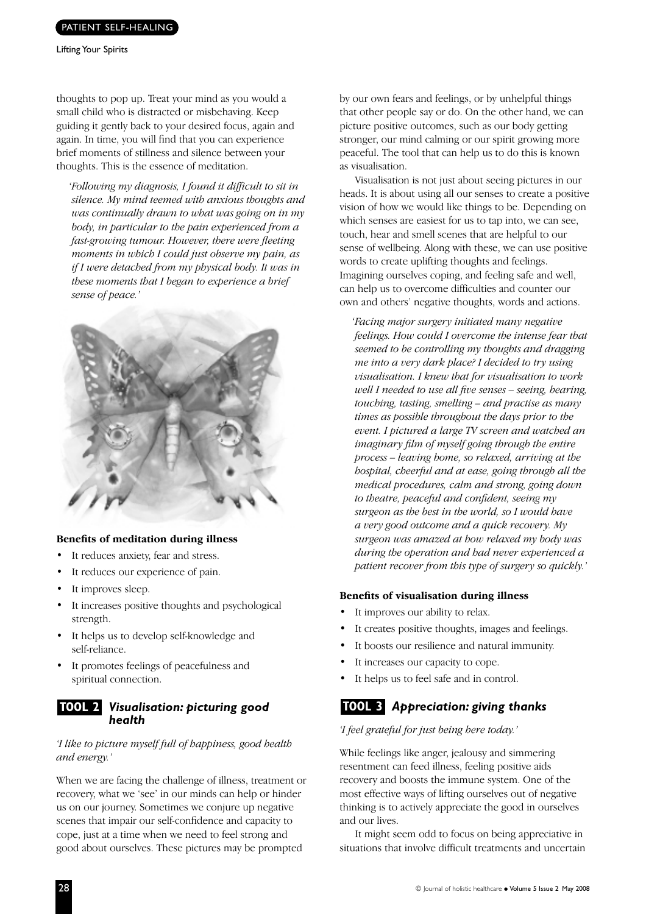Lifting Your Spirits

thoughts to pop up. Treat your mind as you would a small child who is distracted or misbehaving. Keep guiding it gently back to your desired focus, again and again. In time, you will find that you can experience brief moments of stillness and silence between your thoughts. This is the essence of meditation.

*'Following my diagnosis, I found it difficult to sit in silence. My mind teemed with anxious thoughts and was continually drawn to what was going on in my body, in particular to the pain experienced from a fast-growing tumour. However, there were fleeting moments in which I could just observe my pain, as if I were detached from my physical body. It was in these moments that I began to experience a brief sense of peace.'*



#### **Benefits of meditation during illness**

- It reduces anxiety, fear and stress.
- It reduces our experience of pain.
- It improves sleep.
- It increases positive thoughts and psychological strength.
- It helps us to develop self-knowledge and self-reliance.
- It promotes feelings of peacefulness and spiritual connection.

#### *Visualisation: picturing good health* **TOOL 2**

#### *'I like to picture myself full of happiness, good health and energy.'*

When we are facing the challenge of illness, treatment or recovery, what we 'see' in our minds can help or hinder us on our journey. Sometimes we conjure up negative scenes that impair our self-confidence and capacity to cope, just at a time when we need to feel strong and good about ourselves. These pictures may be prompted

by our own fears and feelings, or by unhelpful things that other people say or do. On the other hand, we can picture positive outcomes, such as our body getting stronger, our mind calming or our spirit growing more peaceful. The tool that can help us to do this is known as visualisation.

Visualisation is not just about seeing pictures in our heads. It is about using all our senses to create a positive vision of how we would like things to be. Depending on which senses are easiest for us to tap into, we can see, touch, hear and smell scenes that are helpful to our sense of wellbeing. Along with these, we can use positive words to create uplifting thoughts and feelings. Imagining ourselves coping, and feeling safe and well, can help us to overcome difficulties and counter our own and others' negative thoughts, words and actions.

*'Facing major surgery initiated many negative feelings. How could I overcome the intense fear that seemed to be controlling my thoughts and dragging me into a very dark place? I decided to try using visualisation. I knew that for visualisation to work well I needed to use all five senses – seeing, hearing, touching, tasting, smelling – and practise as many times as possible throughout the days prior to the event. I pictured a large TV screen and watched an imaginary film of myself going through the entire process – leaving home, so relaxed, arriving at the hospital, cheerful and at ease, going through all the medical procedures, calm and strong, going down to theatre, peaceful and confident, seeing my surgeon as the best in the world, so I would have a very good outcome and a quick recovery. My surgeon was amazed at how relaxed my body was during the operation and had never experienced a patient recover from this type of surgery so quickly.'*

#### **Benefits of visualisation during illness**

- It improves our ability to relax.
- It creates positive thoughts, images and feelings.
- It boosts our resilience and natural immunity.
- It increases our capacity to cope.
- It helps us to feel safe and in control.

#### *Appreciation: giving thanks* **TOOL 3**

#### *'I feel grateful for just being here today.'*

While feelings like anger, jealousy and simmering resentment can feed illness, feeling positive aids recovery and boosts the immune system. One of the most effective ways of lifting ourselves out of negative thinking is to actively appreciate the good in ourselves and our lives.

It might seem odd to focus on being appreciative in situations that involve difficult treatments and uncertain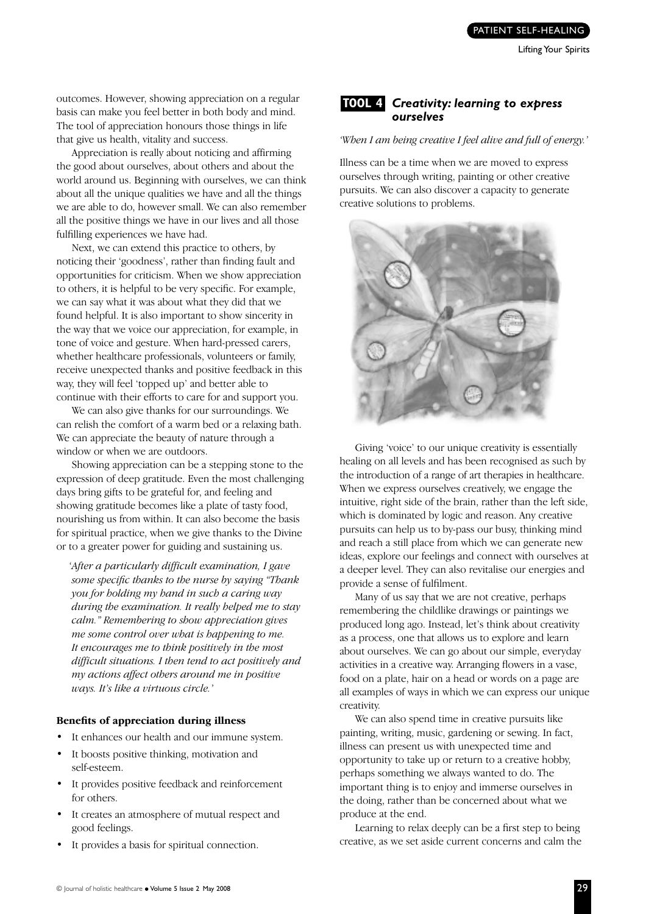outcomes. However, showing appreciation on a regular basis can make you feel better in both body and mind. The tool of appreciation honours those things in life that give us health, vitality and success.

Appreciation is really about noticing and affirming the good about ourselves, about others and about the world around us. Beginning with ourselves, we can think about all the unique qualities we have and all the things we are able to do, however small. We can also remember all the positive things we have in our lives and all those fulfilling experiences we have had.

Next, we can extend this practice to others, by noticing their 'goodness', rather than finding fault and opportunities for criticism. When we show appreciation to others, it is helpful to be very specific. For example, we can say what it was about what they did that we found helpful. It is also important to show sincerity in the way that we voice our appreciation, for example, in tone of voice and gesture. When hard-pressed carers, whether healthcare professionals, volunteers or family, receive unexpected thanks and positive feedback in this way, they will feel 'topped up' and better able to continue with their efforts to care for and support you.

We can also give thanks for our surroundings. We can relish the comfort of a warm bed or a relaxing bath. We can appreciate the beauty of nature through a window or when we are outdoors.

Showing appreciation can be a stepping stone to the expression of deep gratitude. Even the most challenging days bring gifts to be grateful for, and feeling and showing gratitude becomes like a plate of tasty food, nourishing us from within. It can also become the basis for spiritual practice, when we give thanks to the Divine or to a greater power for guiding and sustaining us.

*'After a particularly difficult examination, I gave some specific thanks to the nurse by saying "Thank you for holding my hand in such a caring way during the examination. It really helped me to stay calm." Remembering to show appreciation gives me some control over what is happening to me. It encourages me to think positively in the most difficult situations. I then tend to act positively and my actions affect others around me in positive ways. It's like a virtuous circle.'*

#### **Benefits of appreciation during illness**

- It enhances our health and our immune system.
- It boosts positive thinking, motivation and self-esteem.
- It provides positive feedback and reinforcement for others.
- It creates an atmosphere of mutual respect and good feelings.
- It provides a basis for spiritual connection.



#### *'When I am being creative I feel alive and full of energy.'*

Illness can be a time when we are moved to express ourselves through writing, painting or other creative pursuits. We can also discover a capacity to generate creative solutions to problems.



Giving 'voice' to our unique creativity is essentially healing on all levels and has been recognised as such by the introduction of a range of art therapies in healthcare. When we express ourselves creatively, we engage the intuitive, right side of the brain, rather than the left side, which is dominated by logic and reason. Any creative pursuits can help us to by-pass our busy, thinking mind and reach a still place from which we can generate new ideas, explore our feelings and connect with ourselves at a deeper level. They can also revitalise our energies and provide a sense of fulfilment.

Many of us say that we are not creative, perhaps remembering the childlike drawings or paintings we produced long ago. Instead, let's think about creativity as a process, one that allows us to explore and learn about ourselves. We can go about our simple, everyday activities in a creative way. Arranging flowers in a vase, food on a plate, hair on a head or words on a page are all examples of ways in which we can express our unique creativity.

We can also spend time in creative pursuits like painting, writing, music, gardening or sewing. In fact, illness can present us with unexpected time and opportunity to take up or return to a creative hobby, perhaps something we always wanted to do. The important thing is to enjoy and immerse ourselves in the doing, rather than be concerned about what we produce at the end.

Learning to relax deeply can be a first step to being creative, as we set aside current concerns and calm the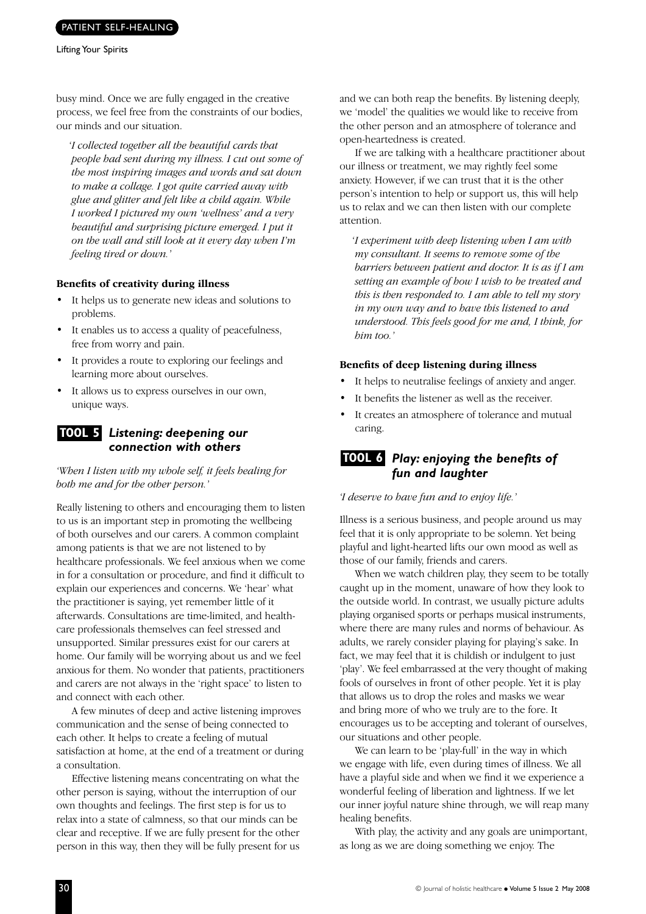#### PATIENT SELF-HEALING

busy mind. Once we are fully engaged in the creative process, we feel free from the constraints of our bodies, our minds and our situation.

*'I collected together all the beautiful cards that people had sent during my illness. I cut out some of the most inspiring images and words and sat down to make a collage. I got quite carried away with glue and glitter and felt like a child again. While I worked I pictured my own 'wellness' and a very beautiful and surprising picture emerged. I put it on the wall and still look at it every day when I'm feeling tired or down.'*

#### **Benefits of creativity during illness**

- It helps us to generate new ideas and solutions to problems.
- It enables us to access a quality of peacefulness, free from worry and pain.
- It provides a route to exploring our feelings and learning more about ourselves.
- It allows us to express ourselves in our own, unique ways.

#### *Listening: deepening our*  **TOOL 5** *connection with others*

*'When I listen with my whole self, it feels healing for both me and for the other person.'*

Really listening to others and encouraging them to listen to us is an important step in promoting the wellbeing of both ourselves and our carers. A common complaint among patients is that we are not listened to by healthcare professionals. We feel anxious when we come in for a consultation or procedure, and find it difficult to explain our experiences and concerns. We 'hear' what the practitioner is saying, yet remember little of it afterwards. Consultations are time-limited, and healthcare professionals themselves can feel stressed and unsupported. Similar pressures exist for our carers at home. Our family will be worrying about us and we feel anxious for them. No wonder that patients, practitioners and carers are not always in the 'right space' to listen to and connect with each other.

A few minutes of deep and active listening improves communication and the sense of being connected to each other. It helps to create a feeling of mutual satisfaction at home, at the end of a treatment or during a consultation.

Effective listening means concentrating on what the other person is saying, without the interruption of our own thoughts and feelings. The first step is for us to relax into a state of calmness, so that our minds can be clear and receptive. If we are fully present for the other person in this way, then they will be fully present for us and we can both reap the benefits. By listening deeply, we 'model' the qualities we would like to receive from the other person and an atmosphere of tolerance and open-heartedness is created.

If we are talking with a healthcare practitioner about our illness or treatment, we may rightly feel some anxiety. However, if we can trust that it is the other person's intention to help or support us, this will help us to relax and we can then listen with our complete attention.

*'I experiment with deep listening when I am with my consultant. It seems to remove some of the barriers between patient and doctor. It is as if I am setting an example of how I wish to be treated and this is then responded to. I am able to tell my story in my own way and to have this listened to and understood. This feels good for me and, I think, for him too.'*

#### **Benefits of deep listening during illness**

- It helps to neutralise feelings of anxiety and anger.
- It benefits the listener as well as the receiver.
- It creates an atmosphere of tolerance and mutual caring.

#### *Play: enjoying the benefits of*  **TOOL 6** *fun and laughter*

#### *'I deserve to have fun and to enjoy life.'*

Illness is a serious business, and people around us may feel that it is only appropriate to be solemn. Yet being playful and light-hearted lifts our own mood as well as those of our family, friends and carers.

When we watch children play, they seem to be totally caught up in the moment, unaware of how they look to the outside world. In contrast, we usually picture adults playing organised sports or perhaps musical instruments, where there are many rules and norms of behaviour. As adults, we rarely consider playing for playing's sake. In fact, we may feel that it is childish or indulgent to just 'play'. We feel embarrassed at the very thought of making fools of ourselves in front of other people. Yet it is play that allows us to drop the roles and masks we wear and bring more of who we truly are to the fore. It encourages us to be accepting and tolerant of ourselves, our situations and other people.

We can learn to be 'play-full' in the way in which we engage with life, even during times of illness. We all have a playful side and when we find it we experience a wonderful feeling of liberation and lightness. If we let our inner joyful nature shine through, we will reap many healing benefits.

With play, the activity and any goals are unimportant, as long as we are doing something we enjoy. The